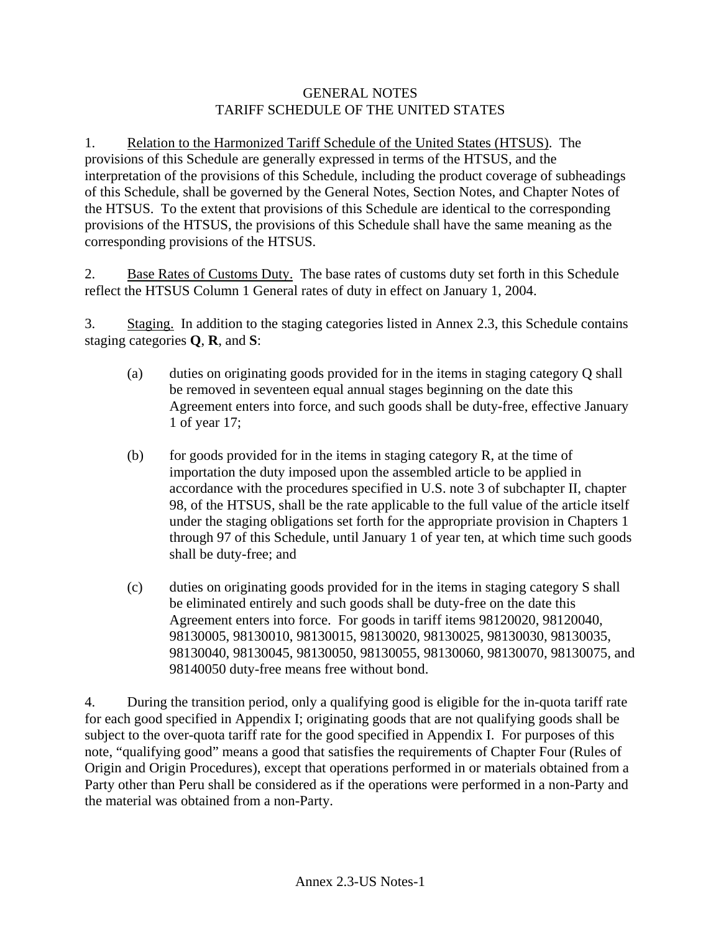#### GENERAL NOTES TARIFF SCHEDULE OF THE UNITED STATES

1. Relation to the Harmonized Tariff Schedule of the United States (HTSUS). The provisions of this Schedule are generally expressed in terms of the HTSUS, and the interpretation of the provisions of this Schedule, including the product coverage of subheadings of this Schedule, shall be governed by the General Notes, Section Notes, and Chapter Notes of the HTSUS. To the extent that provisions of this Schedule are identical to the corresponding provisions of the HTSUS, the provisions of this Schedule shall have the same meaning as the corresponding provisions of the HTSUS.

2. Base Rates of Customs Duty. The base rates of customs duty set forth in this Schedule reflect the HTSUS Column 1 General rates of duty in effect on January 1, 2004.

3. Staging. In addition to the staging categories listed in Annex 2.3, this Schedule contains staging categories **Q**, **R**, and **S**:

- (a) duties on originating goods provided for in the items in staging category Q shall be removed in seventeen equal annual stages beginning on the date this Agreement enters into force, and such goods shall be duty-free, effective January 1 of year 17;
- (b) for goods provided for in the items in staging category  $R$ , at the time of importation the duty imposed upon the assembled article to be applied in accordance with the procedures specified in U.S. note 3 of subchapter II, chapter 98, of the HTSUS, shall be the rate applicable to the full value of the article itself under the staging obligations set forth for the appropriate provision in Chapters 1 through 97 of this Schedule, until January 1 of year ten, at which time such goods shall be duty-free; and
- (c) duties on originating goods provided for in the items in staging category S shall be eliminated entirely and such goods shall be duty-free on the date this Agreement enters into force. For goods in tariff items 98120020, 98120040, 98130005, 98130010, 98130015, 98130020, 98130025, 98130030, 98130035, 98130040, 98130045, 98130050, 98130055, 98130060, 98130070, 98130075, and 98140050 duty-free means free without bond.

4. During the transition period, only a qualifying good is eligible for the in-quota tariff rate for each good specified in Appendix I; originating goods that are not qualifying goods shall be subject to the over-quota tariff rate for the good specified in Appendix I. For purposes of this note, "qualifying good" means a good that satisfies the requirements of Chapter Four (Rules of Origin and Origin Procedures), except that operations performed in or materials obtained from a Party other than Peru shall be considered as if the operations were performed in a non-Party and the material was obtained from a non-Party.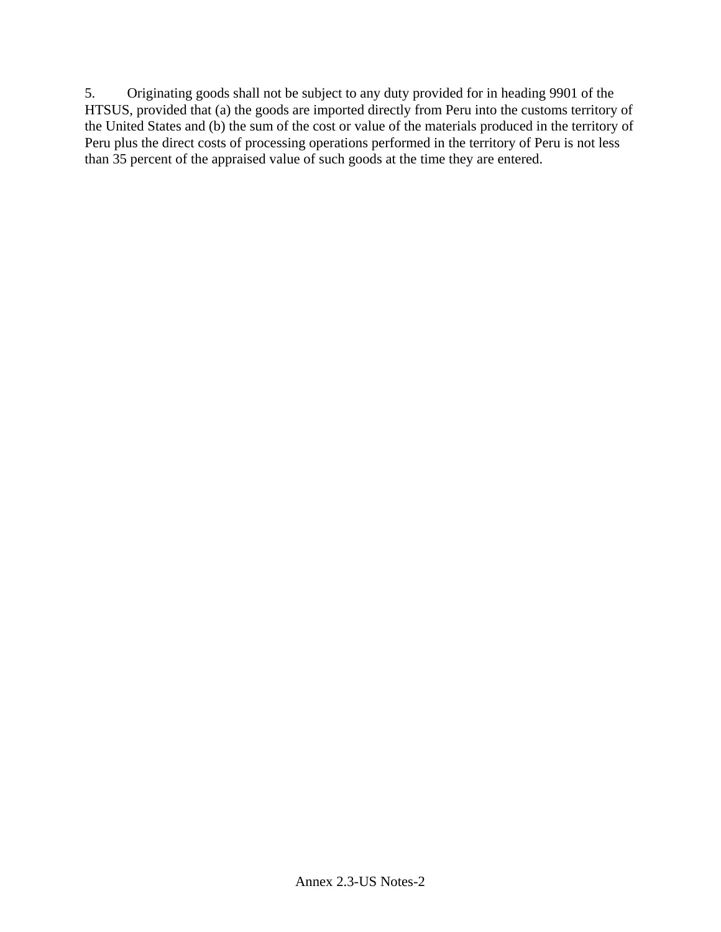5. Originating goods shall not be subject to any duty provided for in heading 9901 of the HTSUS, provided that (a) the goods are imported directly from Peru into the customs territory of the United States and (b) the sum of the cost or value of the materials produced in the territory of Peru plus the direct costs of processing operations performed in the territory of Peru is not less than 35 percent of the appraised value of such goods at the time they are entered.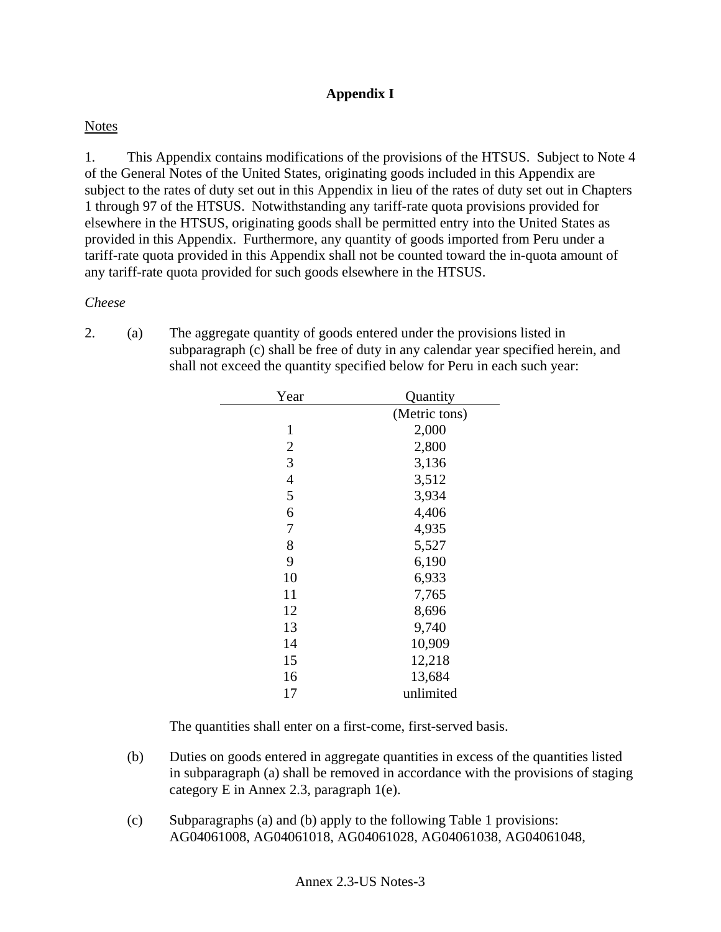# **Appendix I**

## **Notes**

1. This Appendix contains modifications of the provisions of the HTSUS. Subject to Note 4 of the General Notes of the United States, originating goods included in this Appendix are subject to the rates of duty set out in this Appendix in lieu of the rates of duty set out in Chapters 1 through 97 of the HTSUS. Notwithstanding any tariff-rate quota provisions provided for elsewhere in the HTSUS, originating goods shall be permitted entry into the United States as provided in this Appendix. Furthermore, any quantity of goods imported from Peru under a tariff-rate quota provided in this Appendix shall not be counted toward the in-quota amount of any tariff-rate quota provided for such goods elsewhere in the HTSUS.

#### *Cheese*

2. (a) The aggregate quantity of goods entered under the provisions listed in subparagraph (c) shall be free of duty in any calendar year specified herein, and shall not exceed the quantity specified below for Peru in each such year:

| Year           | Quantity      |
|----------------|---------------|
|                | (Metric tons) |
| 1              | 2,000         |
| $\mathbf{2}$   | 2,800         |
| 3              | 3,136         |
| $\overline{4}$ | 3,512         |
| 5              | 3,934         |
| 6              | 4,406         |
| 7              | 4,935         |
| 8              | 5,527         |
| 9              | 6,190         |
| 10             | 6,933         |
| 11             | 7,765         |
| 12             | 8,696         |
| 13             | 9,740         |
| 14             | 10,909        |
| 15             | 12,218        |
| 16             | 13,684        |
| 17             | unlimited     |

The quantities shall enter on a first-come, first-served basis.

- (b) Duties on goods entered in aggregate quantities in excess of the quantities listed in subparagraph (a) shall be removed in accordance with the provisions of staging category E in Annex 2.3, paragraph 1(e).
- (c) Subparagraphs (a) and (b) apply to the following Table 1 provisions: AG04061008, AG04061018, AG04061028, AG04061038, AG04061048,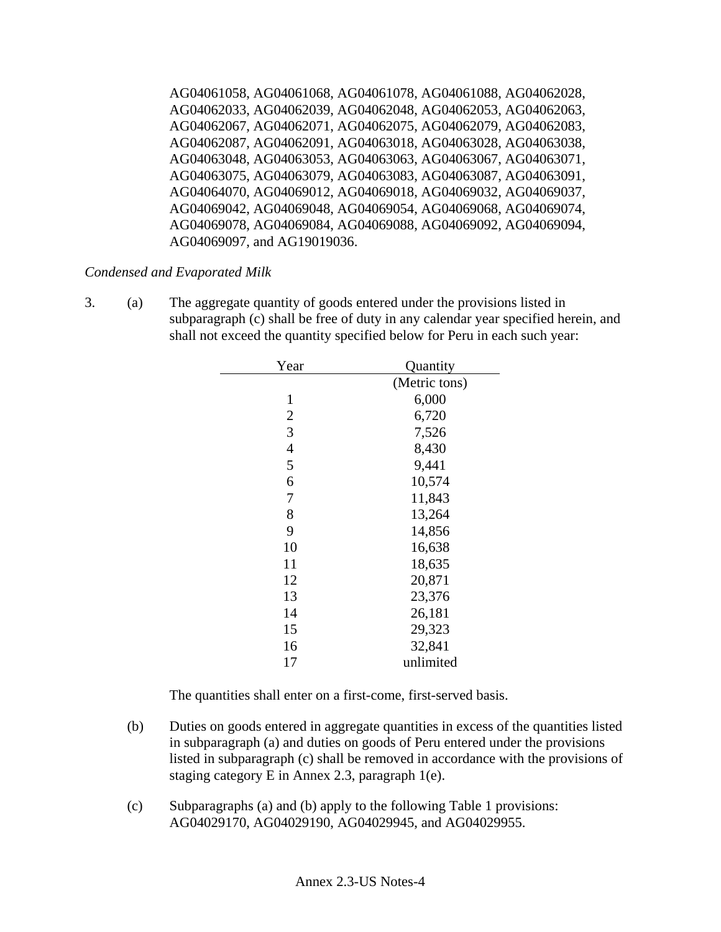AG04061058, AG04061068, AG04061078, AG04061088, AG04062028, AG04062033, AG04062039, AG04062048, AG04062053, AG04062063, AG04062067, AG04062071, AG04062075, AG04062079, AG04062083, AG04062087, AG04062091, AG04063018, AG04063028, AG04063038, AG04063048, AG04063053, AG04063063, AG04063067, AG04063071, AG04063075, AG04063079, AG04063083, AG04063087, AG04063091, AG04064070, AG04069012, AG04069018, AG04069032, AG04069037, AG04069042, AG04069048, AG04069054, AG04069068, AG04069074, AG04069078, AG04069084, AG04069088, AG04069092, AG04069094, AG04069097, and AG19019036.

### *Condensed and Evaporated Milk*

3. (a) The aggregate quantity of goods entered under the provisions listed in subparagraph (c) shall be free of duty in any calendar year specified herein, and shall not exceed the quantity specified below for Peru in each such year:

| Year           | Quantity      |
|----------------|---------------|
|                | (Metric tons) |
| $\mathbf{1}$   | 6,000         |
| $\overline{2}$ | 6,720         |
| 3              | 7,526         |
| $\overline{4}$ | 8,430         |
| 5              | 9,441         |
| 6              | 10,574        |
| 7              | 11,843        |
| 8              | 13,264        |
| 9              | 14,856        |
| 10             | 16,638        |
| 11             | 18,635        |
| 12             | 20,871        |
| 13             | 23,376        |
| 14             | 26,181        |
| 15             | 29,323        |
| 16             | 32,841        |
| 17             | unlimited     |
|                |               |

The quantities shall enter on a first-come, first-served basis.

- (b) Duties on goods entered in aggregate quantities in excess of the quantities listed in subparagraph (a) and duties on goods of Peru entered under the provisions listed in subparagraph (c) shall be removed in accordance with the provisions of staging category E in Annex 2.3, paragraph 1(e).
- (c) Subparagraphs (a) and (b) apply to the following Table 1 provisions: AG04029170, AG04029190, AG04029945, and AG04029955.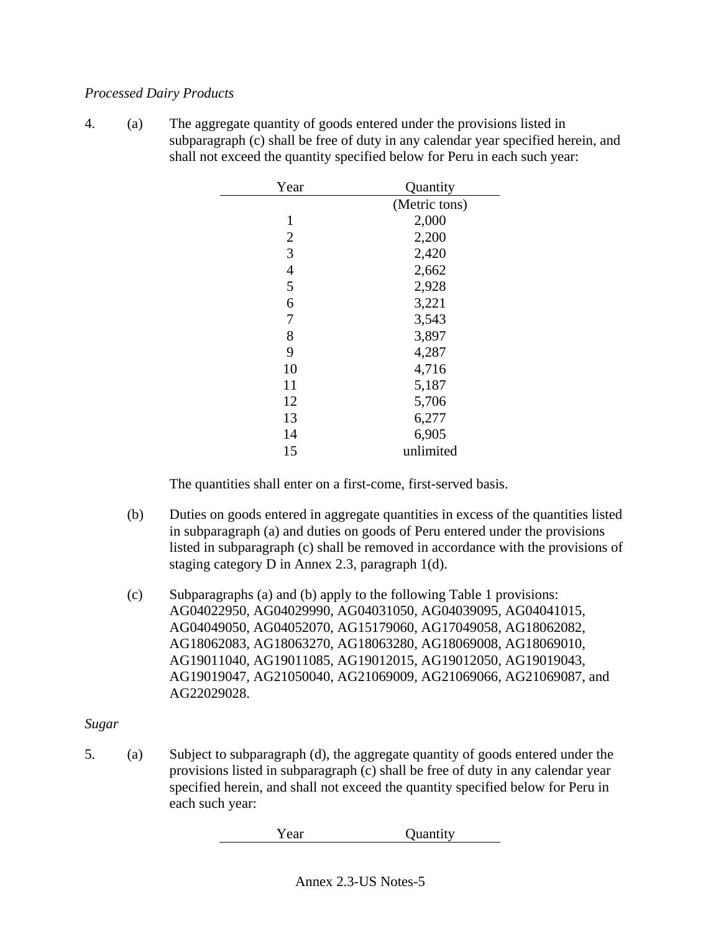#### *Processed Dairy Products*

4. (a) The aggregate quantity of goods entered under the provisions listed in subparagraph (c) shall be free of duty in any calendar year specified herein, and shall not exceed the quantity specified below for Peru in each such year:

| Year           | Quantity      |
|----------------|---------------|
|                | (Metric tons) |
| 1              | 2,000         |
| $\overline{2}$ | 2,200         |
| $\overline{3}$ | 2,420         |
| $\overline{4}$ | 2,662         |
| 5              | 2,928         |
| 6              | 3,221         |
| 7              | 3,543         |
| 8              | 3,897         |
| 9              | 4,287         |
| 10             | 4,716         |
| 11             | 5,187         |
| 12             | 5,706         |
| 13             | 6,277         |
| 14             | 6,905         |
| 15             | unlimited     |

The quantities shall enter on a first-come, first-served basis.

- (b) Duties on goods entered in aggregate quantities in excess of the quantities listed in subparagraph (a) and duties on goods of Peru entered under the provisions listed in subparagraph (c) shall be removed in accordance with the provisions of staging category D in Annex 2.3, paragraph 1(d).
- (c) Subparagraphs (a) and (b) apply to the following Table 1 provisions: AG04022950, AG04029990, AG04031050, AG04039095, AG04041015, AG04049050, AG04052070, AG15179060, AG17049058, AG18062082, AG18062083, AG18063270, AG18063280, AG18069008, AG18069010, AG19011040, AG19011085, AG19012015, AG19012050, AG19019043, AG19019047, AG21050040, AG21069009, AG21069066, AG21069087, and AG22029028.

### *Sugar*

5. (a) Subject to subparagraph (d), the aggregate quantity of goods entered under the provisions listed in subparagraph (c) shall be free of duty in any calendar year specified herein, and shall not exceed the quantity specified below for Peru in each such year:

Year Quantity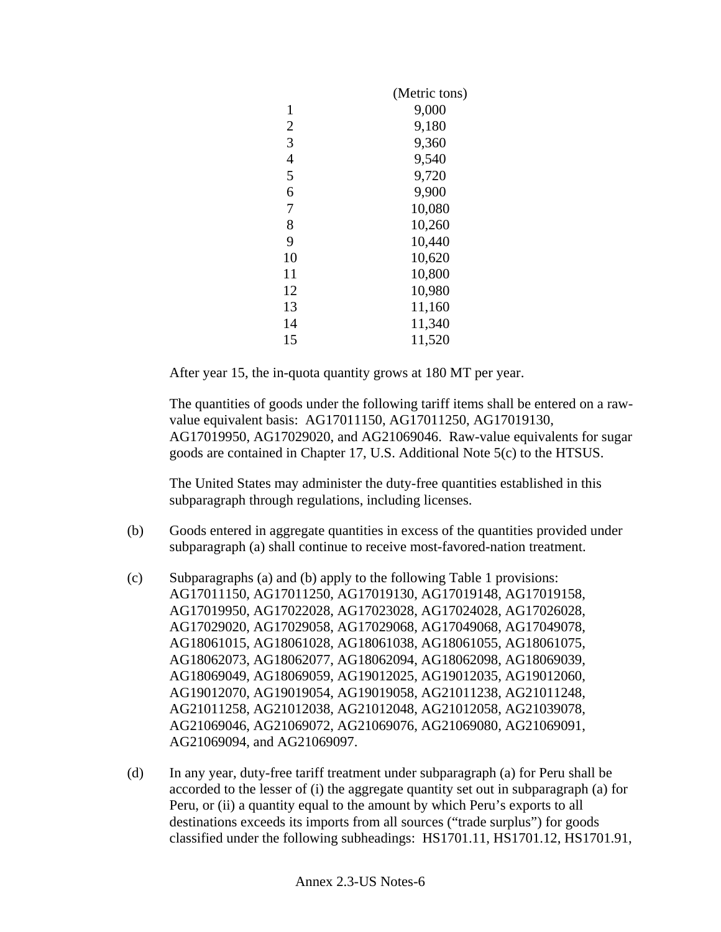|                | (Metric tons) |
|----------------|---------------|
| 1              | 9,000         |
| $\overline{2}$ | 9,180         |
| 3              | 9,360         |
| $\overline{4}$ | 9,540         |
| 5              | 9,720         |
| 6              | 9,900         |
| 7              | 10,080        |
| 8              | 10,260        |
| 9              | 10,440        |
| 10             | 10,620        |
| 11             | 10,800        |
| 12             | 10,980        |
| 13             | 11,160        |
| 14             | 11,340        |
| 15             | 11,520        |

After year 15, the in-quota quantity grows at 180 MT per year.

The quantities of goods under the following tariff items shall be entered on a rawvalue equivalent basis: AG17011150, AG17011250, AG17019130, AG17019950, AG17029020, and AG21069046. Raw-value equivalents for sugar goods are contained in Chapter 17, U.S. Additional Note 5(c) to the HTSUS.

The United States may administer the duty-free quantities established in this subparagraph through regulations, including licenses.

- (b) Goods entered in aggregate quantities in excess of the quantities provided under subparagraph (a) shall continue to receive most-favored-nation treatment.
- (c) Subparagraphs (a) and (b) apply to the following Table 1 provisions: AG17011150, AG17011250, AG17019130, AG17019148, AG17019158, AG17019950, AG17022028, AG17023028, AG17024028, AG17026028, AG17029020, AG17029058, AG17029068, AG17049068, AG17049078, AG18061015, AG18061028, AG18061038, AG18061055, AG18061075, AG18062073, AG18062077, AG18062094, AG18062098, AG18069039, AG18069049, AG18069059, AG19012025, AG19012035, AG19012060, AG19012070, AG19019054, AG19019058, AG21011238, AG21011248, AG21011258, AG21012038, AG21012048, AG21012058, AG21039078, AG21069046, AG21069072, AG21069076, AG21069080, AG21069091, AG21069094, and AG21069097.
- (d) In any year, duty-free tariff treatment under subparagraph (a) for Peru shall be accorded to the lesser of (i) the aggregate quantity set out in subparagraph (a) for Peru, or (ii) a quantity equal to the amount by which Peru's exports to all destinations exceeds its imports from all sources ("trade surplus") for goods classified under the following subheadings: HS1701.11, HS1701.12, HS1701.91,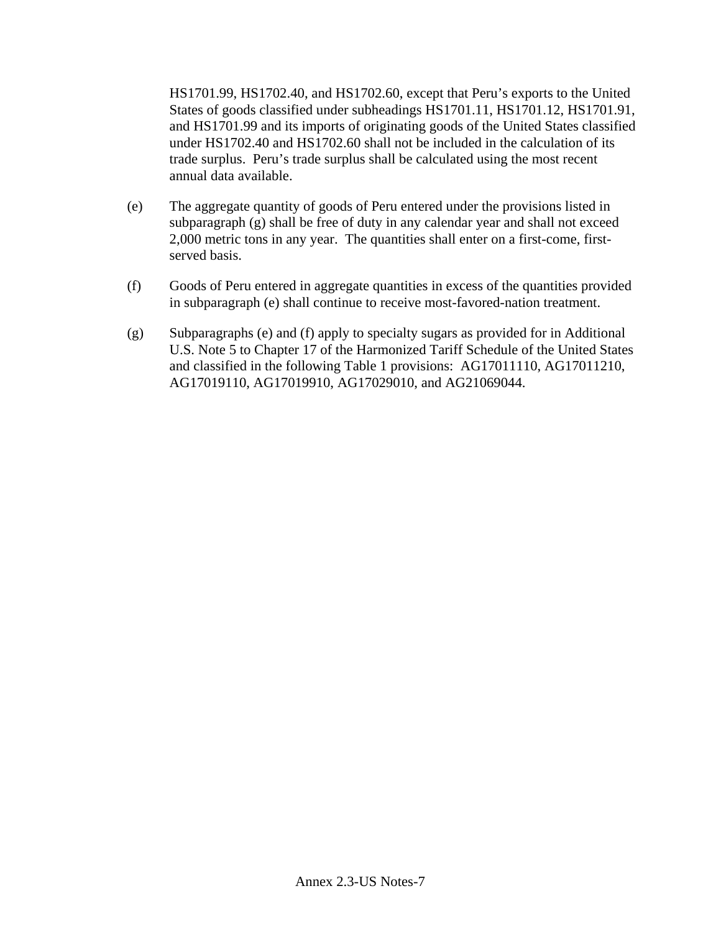HS1701.99, HS1702.40, and HS1702.60, except that Peru's exports to the United States of goods classified under subheadings HS1701.11, HS1701.12, HS1701.91, and HS1701.99 and its imports of originating goods of the United States classified under HS1702.40 and HS1702.60 shall not be included in the calculation of its trade surplus. Peru's trade surplus shall be calculated using the most recent annual data available.

- (e) The aggregate quantity of goods of Peru entered under the provisions listed in subparagraph (g) shall be free of duty in any calendar year and shall not exceed 2,000 metric tons in any year. The quantities shall enter on a first-come, firstserved basis.
- (f) Goods of Peru entered in aggregate quantities in excess of the quantities provided in subparagraph (e) shall continue to receive most-favored-nation treatment.
- (g) Subparagraphs (e) and (f) apply to specialty sugars as provided for in Additional U.S. Note 5 to Chapter 17 of the Harmonized Tariff Schedule of the United States and classified in the following Table 1 provisions: AG17011110, AG17011210, AG17019110, AG17019910, AG17029010, and AG21069044.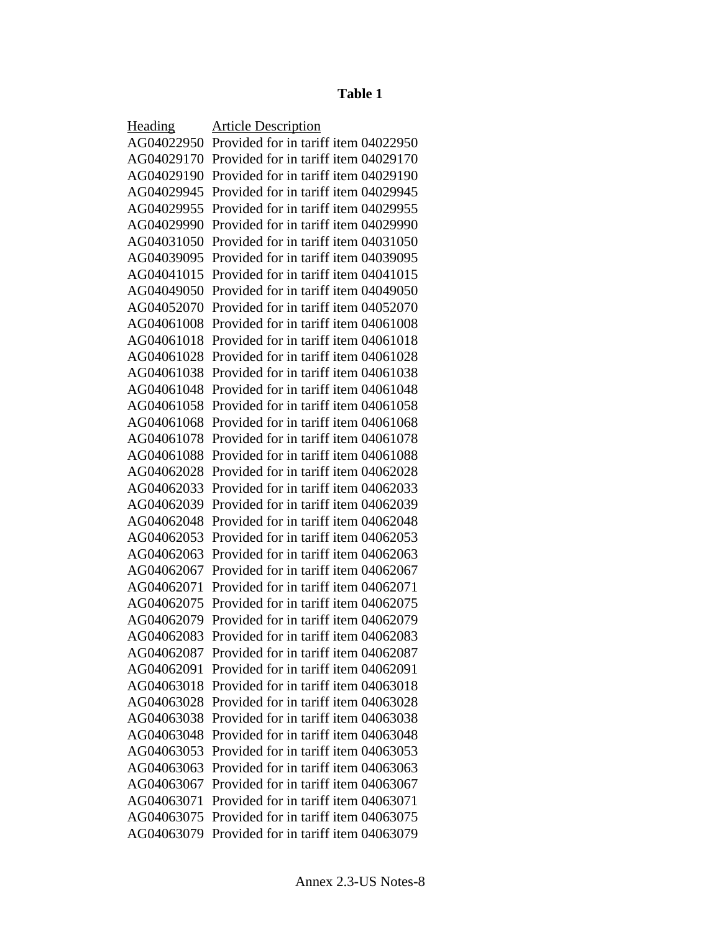# **Table 1**

| Heading    | <b>Article Description</b>           |
|------------|--------------------------------------|
| AG04022950 | Provided for in tariff item 04022950 |
| AG04029170 | Provided for in tariff item 04029170 |
| AG04029190 | Provided for in tariff item 04029190 |
| AG04029945 | Provided for in tariff item 04029945 |
| AG04029955 | Provided for in tariff item 04029955 |
| AG04029990 | Provided for in tariff item 04029990 |
| AG04031050 | Provided for in tariff item 04031050 |
| AG04039095 | Provided for in tariff item 04039095 |
| AG04041015 | Provided for in tariff item 04041015 |
| AG04049050 | Provided for in tariff item 04049050 |
| AG04052070 | Provided for in tariff item 04052070 |
| AG04061008 | Provided for in tariff item 04061008 |
| AG04061018 | Provided for in tariff item 04061018 |
| AG04061028 | Provided for in tariff item 04061028 |
| AG04061038 | Provided for in tariff item 04061038 |
| AG04061048 | Provided for in tariff item 04061048 |
| AG04061058 | Provided for in tariff item 04061058 |
| AG04061068 | Provided for in tariff item 04061068 |
| AG04061078 | Provided for in tariff item 04061078 |
| AG04061088 | Provided for in tariff item 04061088 |
| AG04062028 | Provided for in tariff item 04062028 |
| AG04062033 | Provided for in tariff item 04062033 |
| AG04062039 | Provided for in tariff item 04062039 |
| AG04062048 | Provided for in tariff item 04062048 |
| AG04062053 | Provided for in tariff item 04062053 |
| AG04062063 | Provided for in tariff item 04062063 |
| AG04062067 | Provided for in tariff item 04062067 |
| AG04062071 | Provided for in tariff item 04062071 |
| AG04062075 | Provided for in tariff item 04062075 |
| AG04062079 | Provided for in tariff item 04062079 |
| AG04062083 | Provided for in tariff item 04062083 |
| AG04062087 | Provided for in tariff item 04062087 |
| AG04062091 | Provided for in tariff item 04062091 |
| AG04063018 | Provided for in tariff item 04063018 |
| AG04063028 | Provided for in tariff item 04063028 |
| AG04063038 | Provided for in tariff item 04063038 |
| AG04063048 | Provided for in tariff item 04063048 |
| AG04063053 | Provided for in tariff item 04063053 |
| AG04063063 | Provided for in tariff item 04063063 |
| AG04063067 | Provided for in tariff item 04063067 |
| AG04063071 | Provided for in tariff item 04063071 |
| AG04063075 | Provided for in tariff item 04063075 |
| AG04063079 | Provided for in tariff item 04063079 |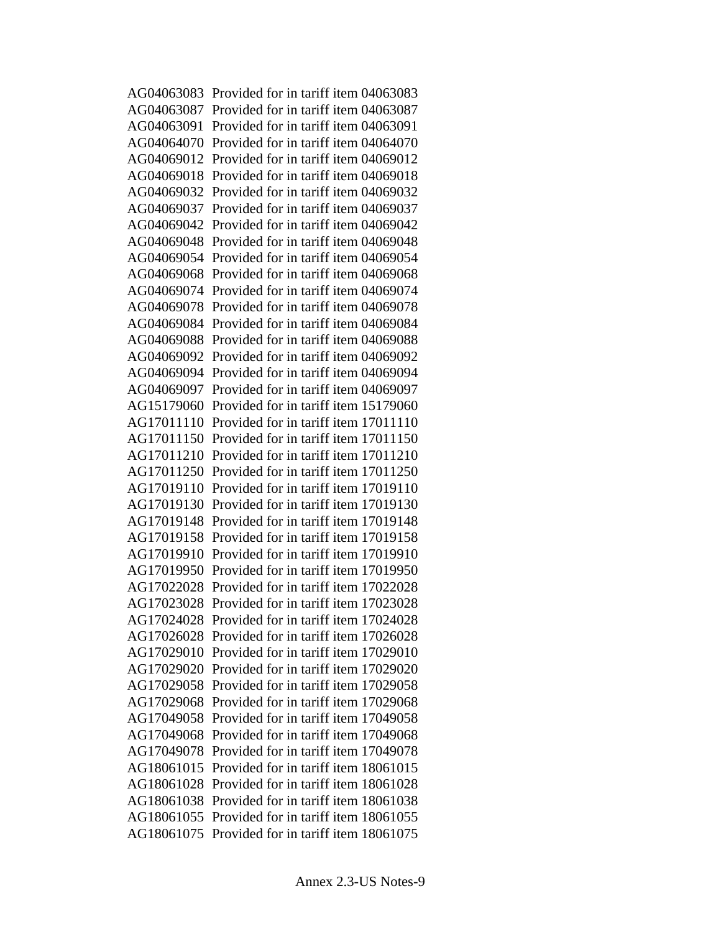AG04063083 Provided for in tariff item 04063083 AG04063087 Provided for in tariff item 04063087 AG04063091 Provided for in tariff item 04063091 AG04064070 Provided for in tariff item 04064070 AG04069012 Provided for in tariff item 04069012 AG04069018 Provided for in tariff item 04069018 AG04069032 Provided for in tariff item 04069032 AG04069037 Provided for in tariff item 04069037 AG04069042 Provided for in tariff item 04069042 AG04069048 Provided for in tariff item 04069048 AG04069054 Provided for in tariff item 04069054 AG04069068 Provided for in tariff item 04069068 AG04069074 Provided for in tariff item 04069074 AG04069078 Provided for in tariff item 04069078 AG04069084 Provided for in tariff item 04069084 AG04069088 Provided for in tariff item 04069088 AG04069092 Provided for in tariff item 04069092 AG04069094 Provided for in tariff item 04069094 AG04069097 Provided for in tariff item 04069097 AG15179060 Provided for in tariff item 15179060 AG17011110 Provided for in tariff item 17011110 AG17011150 Provided for in tariff item 17011150 AG17011210 Provided for in tariff item 17011210 AG17011250 Provided for in tariff item 17011250 AG17019110 Provided for in tariff item 17019110 AG17019130 Provided for in tariff item 17019130 AG17019148 Provided for in tariff item 17019148 AG17019158 Provided for in tariff item 17019158 AG17019910 Provided for in tariff item 17019910 AG17019950 Provided for in tariff item 17019950 AG17022028 Provided for in tariff item 17022028 AG17023028 Provided for in tariff item 17023028 AG17024028 Provided for in tariff item 17024028 AG17026028 Provided for in tariff item 17026028 AG17029010 Provided for in tariff item 17029010 AG17029020 Provided for in tariff item 17029020 AG17029058 Provided for in tariff item 17029058 AG17029068 Provided for in tariff item 17029068 AG17049058 Provided for in tariff item 17049058 AG17049068 Provided for in tariff item 17049068 AG17049078 Provided for in tariff item 17049078 AG18061015 Provided for in tariff item 18061015 AG18061028 Provided for in tariff item 18061028 AG18061038 Provided for in tariff item 18061038 AG18061055 Provided for in tariff item 18061055 AG18061075 Provided for in tariff item 18061075